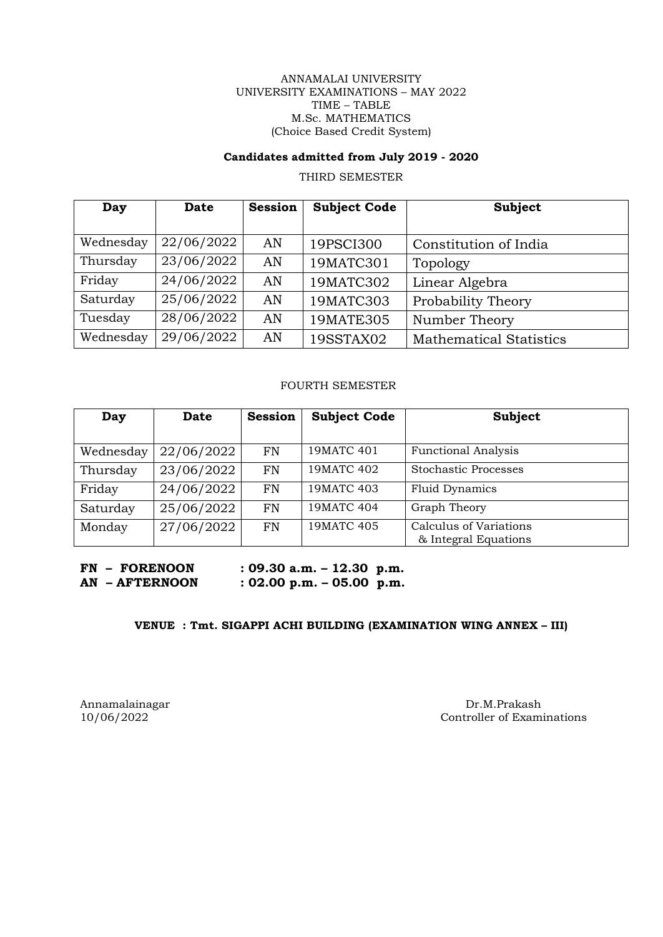#### ANNAMALAI UNIVERSITY UNIVERSITY EXAMINATIONS – MAY 2022 TIME – TABLE M.Sc. MATHEMATICS (Choice Based Credit System)

# **Candidates admitted from July 2019 - 2020**

THIRD SEMESTER

| Day       | <b>Date</b> | <b>Session</b> | <b>Subject Code</b> | <b>Subject</b>                 |
|-----------|-------------|----------------|---------------------|--------------------------------|
|           |             |                |                     |                                |
| Wednesday | 22/06/2022  | AN             | 19PSCI300           | Constitution of India          |
| Thursday  | 23/06/2022  | AN             | 19MATC301           | Topology                       |
| Friday    | 24/06/2022  | AN             | 19MATC302           | Linear Algebra                 |
| Saturday  | 25/06/2022  | AN             | 19MATC303           | Probability Theory             |
| Tuesday   | 28/06/2022  | AN             | 19MATE305           | Number Theory                  |
| Wednesday | 29/06/2022  | AN             | 19SSTAX02           | <b>Mathematical Statistics</b> |

# FOURTH SEMESTER

| Day       | <b>Date</b> | <b>Session</b> | <b>Subject Code</b> | Subject                                        |
|-----------|-------------|----------------|---------------------|------------------------------------------------|
|           |             |                |                     |                                                |
| Wednesday | 22/06/2022  | <b>FN</b>      | 19MATC 401          | <b>Functional Analysis</b>                     |
| Thursday  | 23/06/2022  | <b>FN</b>      | 19MATC 402          | <b>Stochastic Processes</b>                    |
| Friday    | 24/06/2022  | <b>FN</b>      | 19MATC 403          | <b>Fluid Dynamics</b>                          |
| Saturday  | 25/06/2022  | <b>FN</b>      | 19MATC 404          | Graph Theory                                   |
| Monday    | 27/06/2022  | <b>FN</b>      | 19MATC 405          | Calculus of Variations<br>& Integral Equations |

**FN – FORENOON : 09.30 a.m. – 12.30 p.m. AN – AFTERNOON : 02.00 p.m. – 05.00 p.m.**

# **VENUE : Tmt. SIGAPPI ACHI BUILDING (EXAMINATION WING ANNEX – III)**

Annamalainagar Dr.M.Prakash Dr.M.Prakash Dr.M.Prakash Dr.M.Prakash Dr.M.Prakash Dr.M.Prakash Dr.M.Prakash Dr.M.Prakash Dr.M.Prakash Dr.M.Prakash Dr.M.Prakash Dr.M.Prakash Dr.M.Prakash Dr.M.Prakash Dr.M.Prakash Dr.M.Prakash Controller of Examinations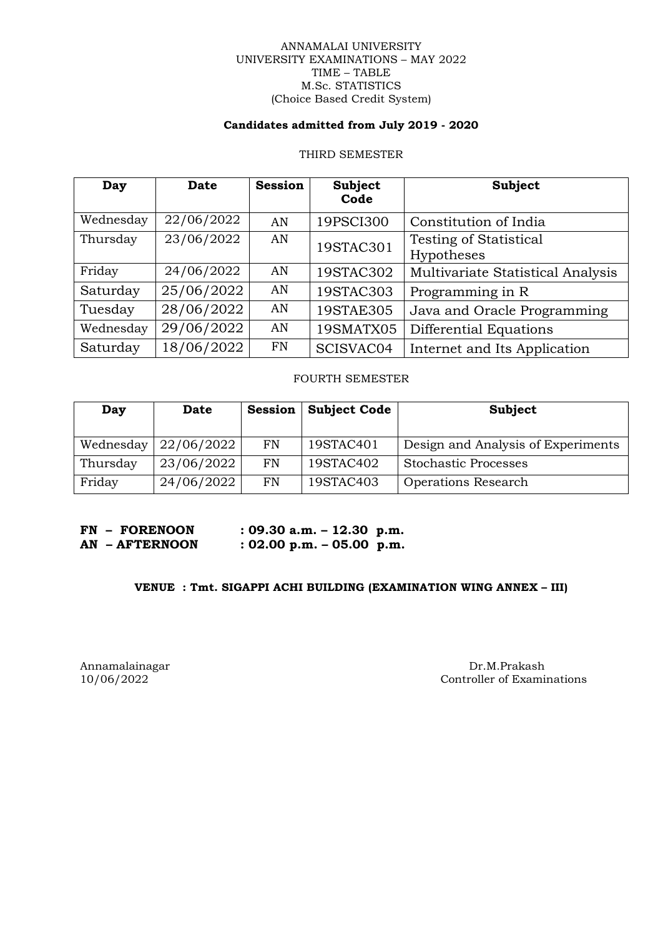#### ANNAMALAI UNIVERSITY UNIVERSITY EXAMINATIONS – MAY 2022 TIME – TABLE M.Sc. STATISTICS (Choice Based Credit System)

## **Candidates admitted from July 2019 - 2020**

# THIRD SEMESTER

| Day       | <b>Date</b> | <b>Session</b> | <b>Subject</b><br>Code | <b>Subject</b>                              |
|-----------|-------------|----------------|------------------------|---------------------------------------------|
| Wednesday | 22/06/2022  | AN             | 19PSCI300              | Constitution of India                       |
| Thursday  | 23/06/2022  | AN             | 19STAC301              | <b>Testing of Statistical</b><br>Hypotheses |
| Friday    | 24/06/2022  | AN             | 19STAC302              | Multivariate Statistical Analysis           |
| Saturday  | 25/06/2022  | AN             | 19STAC303              | Programming in R                            |
| Tuesday   | 28/06/2022  | AN             | 19STAE305              | Java and Oracle Programming                 |
| Wednesday | 29/06/2022  | AN             | 19SMATX05              | Differential Equations                      |
| Saturday  | 18/06/2022  | <b>FN</b>      | SCISVAC04              | Internet and Its Application                |

### FOURTH SEMESTER

| Day       | <b>Date</b> | <b>Session</b> | <b>Subject Code</b> | Subject                            |
|-----------|-------------|----------------|---------------------|------------------------------------|
| Wednesday | 22/06/2022  | <b>FN</b>      | 19STAC401           | Design and Analysis of Experiments |
| Thursday  | 23/06/2022  | FN             | 19STAC402           | <b>Stochastic Processes</b>        |
| Friday    | 24/06/2022  | <b>FN</b>      | 19STAC403           | <b>Operations Research</b>         |

**FN – FORENOON : 09.30 a.m. – 12.30 p.m. AN – AFTERNOON : 02.00 p.m. – 05.00 p.m.**

# **VENUE : Tmt. SIGAPPI ACHI BUILDING (EXAMINATION WING ANNEX – III)**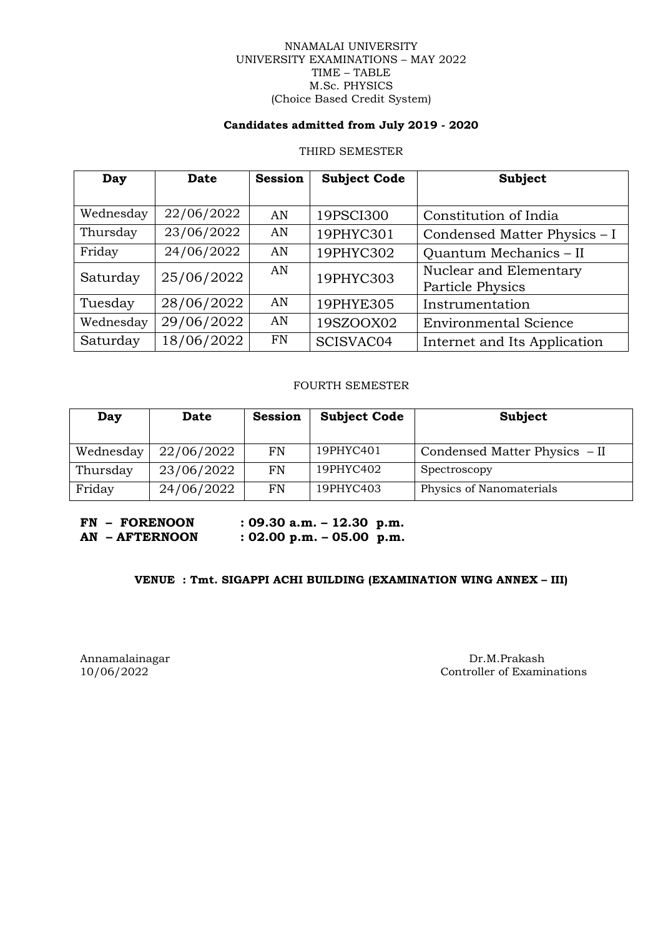#### NNAMALAI UNIVERSITY UNIVERSITY EXAMINATIONS – MAY 2022 TIME – TABLE M.Sc. PHYSICS (Choice Based Credit System)

### **Candidates admitted from July 2019 - 2020**

#### THIRD SEMESTER

| Day       | Date       | <b>Session</b> | <b>Subject Code</b> | <b>Subject</b>                             |
|-----------|------------|----------------|---------------------|--------------------------------------------|
| Wednesday | 22/06/2022 | AN             | 19PSCI300           | Constitution of India                      |
| Thursday  | 23/06/2022 | AN             | 19PHYC301           | Condensed Matter Physics - I               |
| Friday    | 24/06/2022 | AN             | 19PHYC302           | Quantum Mechanics - II                     |
| Saturday  | 25/06/2022 | AN             | 19PHYC303           | Nuclear and Elementary<br>Particle Physics |
| Tuesday   | 28/06/2022 | AN             | 19PHYE305           | Instrumentation                            |
| Wednesday | 29/06/2022 | AN             | 19SZOOX02           | <b>Environmental Science</b>               |
| Saturday  | 18/06/2022 | <b>FN</b>      | SCISVAC04           | Internet and Its Application               |

# FOURTH SEMESTER

| Day       | Date       | <b>Session</b> | <b>Subject Code</b> | Subject                       |
|-----------|------------|----------------|---------------------|-------------------------------|
| Wednesday | 22/06/2022 | <b>FN</b>      | 19PHYC401           | Condensed Matter Physics - II |
| Thursday  | 23/06/2022 | FN             | 19PHYC402           | Spectroscopy                  |
| Friday    | 24/06/2022 | FN             | 19PHYC403           | Physics of Nanomaterials      |

**FN – FORENOON : 09.30 a.m. – 12.30 p.m. AN – AFTERNOON : 02.00 p.m. – 05.00 p.m.**

# **VENUE : Tmt. SIGAPPI ACHI BUILDING (EXAMINATION WING ANNEX – III)**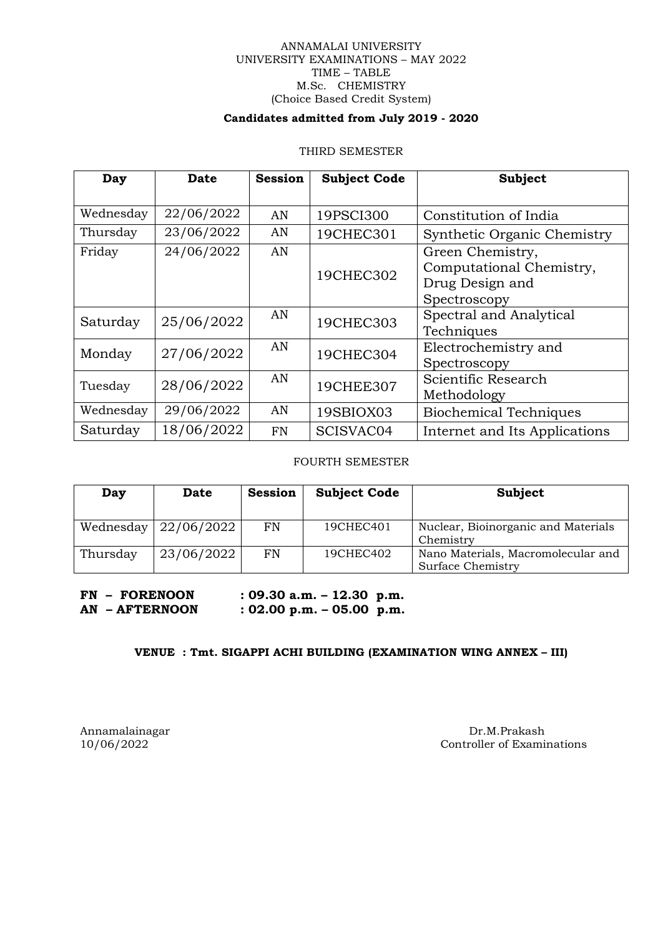#### ANNAMALAI UNIVERSITY UNIVERSITY EXAMINATIONS – MAY 2022 TIME – TABLE M.Sc. CHEMISTRY (Choice Based Credit System)

#### **Candidates admitted from July 2019 - 2020**

#### THIRD SEMESTER

| Day       | Date       | <b>Session</b> | <b>Subject Code</b> | <b>Subject</b>                     |
|-----------|------------|----------------|---------------------|------------------------------------|
|           |            |                |                     |                                    |
| Wednesday | 22/06/2022 | AN             | 19PSCI300           | Constitution of India              |
| Thursday  | 23/06/2022 | AN             | 19CHEC301           | <b>Synthetic Organic Chemistry</b> |
| Friday    | 24/06/2022 | AN             |                     | Green Chemistry,                   |
|           |            |                | 19CHEC302           | Computational Chemistry,           |
|           |            |                |                     | Drug Design and                    |
|           |            |                |                     | Spectroscopy                       |
| Saturday  | 25/06/2022 | AN             | 19CHEC303           | Spectral and Analytical            |
|           |            |                |                     | Techniques                         |
| Monday    | 27/06/2022 | AN             | 19CHEC304           | Electrochemistry and               |
|           |            |                |                     | Spectroscopy                       |
| Tuesday   | 28/06/2022 | AN             | 19CHEE307           | Scientific Research                |
|           |            |                |                     | Methodology                        |
| Wednesday | 29/06/2022 | AN             | 19SBIOX03           | <b>Biochemical Techniques</b>      |
| Saturday  | 18/06/2022 | <b>FN</b>      | SCISVAC04           | Internet and Its Applications      |

FOURTH SEMESTER

| Day       | Date       | <b>Session</b> | <b>Subject Code</b> | Subject                                                 |
|-----------|------------|----------------|---------------------|---------------------------------------------------------|
| Wednesday | 22/06/2022 | FN             | 19CHEC401           | Nuclear, Bioinorganic and Materials<br>Chemistry        |
| Thursday  | 23/06/2022 | FN             | 19CHEC402           | Nano Materials, Macromolecular and<br>Surface Chemistry |

**FN – FORENOON : 09.30 a.m. – 12.30 p.m. AN – AFTERNOON : 02.00 p.m. – 05.00 p.m.**

# **VENUE : Tmt. SIGAPPI ACHI BUILDING (EXAMINATION WING ANNEX – III)**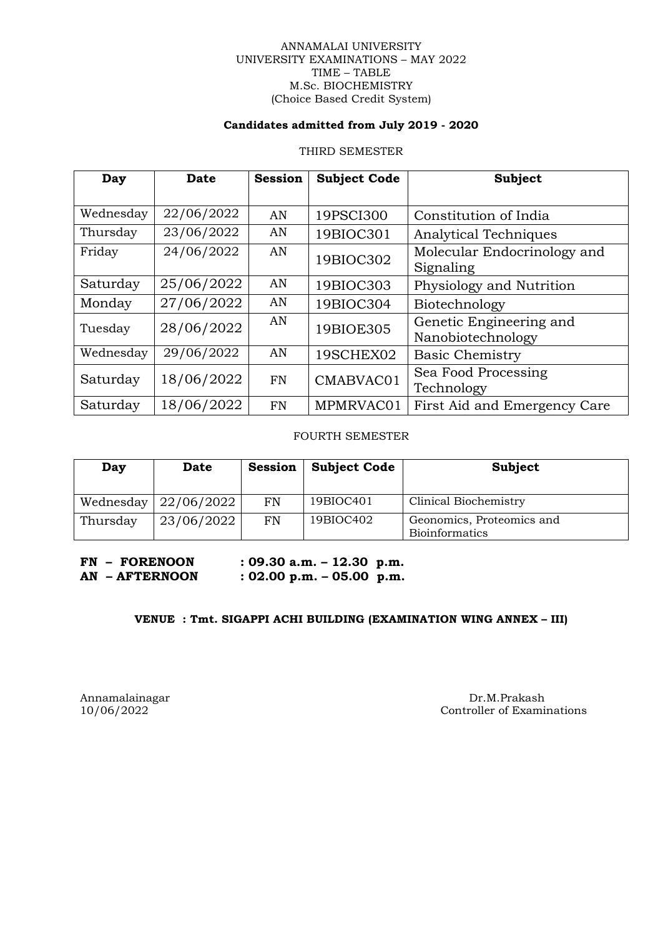#### ANNAMALAI UNIVERSITY UNIVERSITY EXAMINATIONS – MAY 2022 TIME – TABLE M.Sc. BIOCHEMISTRY (Choice Based Credit System)

### **Candidates admitted from July 2019 - 2020**

#### THIRD SEMESTER

| Day       | Date       | <b>Session</b> | <b>Subject Code</b> | <b>Subject</b>               |
|-----------|------------|----------------|---------------------|------------------------------|
|           |            |                |                     |                              |
| Wednesday | 22/06/2022 | AN             | 19PSCI300           | Constitution of India        |
| Thursday  | 23/06/2022 | AN             | 19BIOC301           | <b>Analytical Techniques</b> |
| Friday    | 24/06/2022 | AN             | 19BIOC302           | Molecular Endocrinology and  |
|           |            |                |                     | Signaling                    |
| Saturday  | 25/06/2022 | AN             | 19BIOC303           | Physiology and Nutrition     |
| Monday    | 27/06/2022 | AN             | 19BIOC304           | Biotechnology                |
| Tuesday   | 28/06/2022 | AN             | 19BIOE305           | Genetic Engineering and      |
|           |            |                |                     | Nanobiotechnology            |
| Wednesday | 29/06/2022 | AN             | 19SCHEX02           | <b>Basic Chemistry</b>       |
| Saturday  | 18/06/2022 | <b>FN</b>      | CMABVAC01           | Sea Food Processing          |
|           |            |                |                     | Technology                   |
| Saturday  | 18/06/2022 | <b>FN</b>      | MPMRVAC01           | First Aid and Emergency Care |

FOURTH SEMESTER

| Day      | Date                         | Session | <b>Subject Code</b> | Subject                   |
|----------|------------------------------|---------|---------------------|---------------------------|
|          |                              |         |                     |                           |
|          | Wednesday $\vert$ 22/06/2022 | FN      | 19BIOC401           | Clinical Biochemistry     |
| Thursday | 23/06/2022                   | FN      | 19BIOC402           | Geonomics, Proteomics and |
|          |                              |         |                     | <b>Bioinformatics</b>     |

**FN – FORENOON : 09.30 a.m. – 12.30 p.m.**

**AN – AFTERNOON : 02.00 p.m. – 05.00 p.m.**

# **VENUE : Tmt. SIGAPPI ACHI BUILDING (EXAMINATION WING ANNEX – III)**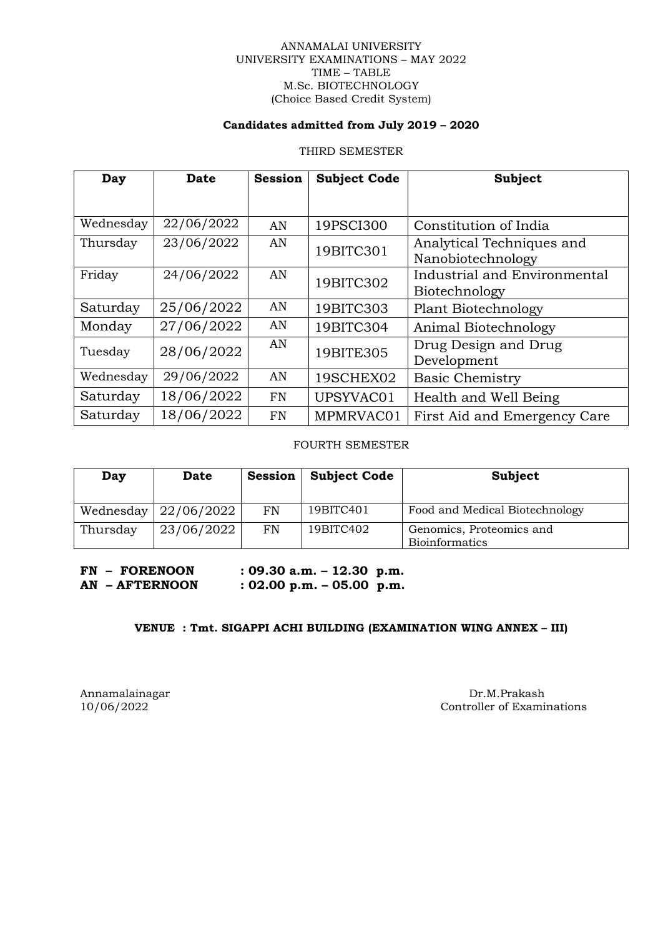#### ANNAMALAI UNIVERSITY UNIVERSITY EXAMINATIONS – MAY 2022 TIME – TABLE M.Sc. BIOTECHNOLOGY (Choice Based Credit System)

### **Candidates admitted from July 2019 – 2020**

#### THIRD SEMESTER

| Day       | Date       | <b>Session</b> | <b>Subject Code</b> | <b>Subject</b>                                 |
|-----------|------------|----------------|---------------------|------------------------------------------------|
|           |            |                |                     |                                                |
| Wednesday | 22/06/2022 | AN             | 19PSCI300           | Constitution of India                          |
| Thursday  | 23/06/2022 | AN             | 19BITC301           | Analytical Techniques and<br>Nanobiotechnology |
| Friday    | 24/06/2022 | AN             | 19BITC302           | Industrial and Environmental<br>Biotechnology  |
| Saturday  | 25/06/2022 | AN             | 19BITC303           | <b>Plant Biotechnology</b>                     |
| Monday    | 27/06/2022 | AN             | 19BITC304           | Animal Biotechnology                           |
| Tuesday   | 28/06/2022 | AN             | 19BITE305           | Drug Design and Drug<br>Development            |
| Wednesday | 29/06/2022 | AN             | 19SCHEX02           | <b>Basic Chemistry</b>                         |
| Saturday  | 18/06/2022 | <b>FN</b>      | UPSYVAC01           | Health and Well Being                          |
| Saturday  | 18/06/2022 | <b>FN</b>      | MPMRVAC01           | First Aid and Emergency Care                   |

FOURTH SEMESTER

| Day      | Date                         | <b>Session</b> | <b>Subject Code</b> | Subject                                           |
|----------|------------------------------|----------------|---------------------|---------------------------------------------------|
|          | Wednesday $\vert$ 22/06/2022 | FN             | 19BITC401           | Food and Medical Biotechnology                    |
| Thursday | 23/06/2022                   | FN             | 19BITC402           | Genomics, Proteomics and<br><b>Bioinformatics</b> |

**FN – FORENOON : 09.30 a.m. – 12.30 p.m. AN – AFTERNOON : 02.00 p.m. – 05.00 p.m.**

# **VENUE : Tmt. SIGAPPI ACHI BUILDING (EXAMINATION WING ANNEX – III)**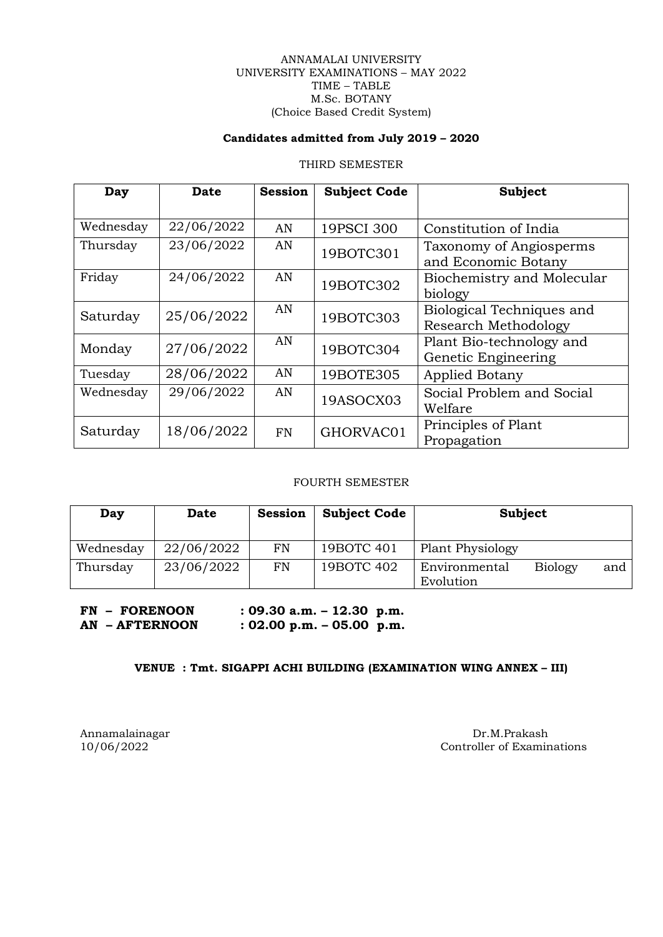#### ANNAMALAI UNIVERSITY UNIVERSITY EXAMINATIONS – MAY 2022 TIME – TABLE M.Sc. BOTANY (Choice Based Credit System)

# **Candidates admitted from July 2019 – 2020**

#### THIRD SEMESTER

| Day       | Date       | <b>Session</b> | <b>Subject Code</b> | <b>Subject</b>              |
|-----------|------------|----------------|---------------------|-----------------------------|
|           |            |                |                     |                             |
| Wednesday | 22/06/2022 | AN             | 19PSCI 300          | Constitution of India       |
| Thursday  | 23/06/2022 | AN             | 19BOTC301           | Taxonomy of Angiosperms     |
|           |            |                |                     | and Economic Botany         |
| Friday    | 24/06/2022 | AN             | 19BOTC302           | Biochemistry and Molecular  |
|           |            |                |                     | biology                     |
| Saturday  | 25/06/2022 | AN             | 19BOTC303           | Biological Techniques and   |
|           |            |                |                     | <b>Research Methodology</b> |
| Monday    | 27/06/2022 | AN             | 19BOTC304           | Plant Bio-technology and    |
|           |            |                |                     | Genetic Engineering         |
| Tuesday   | 28/06/2022 | AN             | 19BOTE305           | <b>Applied Botany</b>       |
| Wednesday | 29/06/2022 | AN             |                     | Social Problem and Social   |
|           |            |                | 19ASOCX03           | Welfare                     |
| Saturday  | 18/06/2022 |                |                     | Principles of Plant         |
|           |            | <b>FN</b>      | GHORVAC01           | Propagation                 |

# FOURTH SEMESTER

| Day       | <b>Date</b> | <b>Session</b> | <b>Subject Code</b> | Subject                                             |
|-----------|-------------|----------------|---------------------|-----------------------------------------------------|
| Wednesday | 22/06/2022  | FN             | 19BOTC 401          | <b>Plant Physiology</b>                             |
| Thursday  | 23/06/2022  | FN             | 19BOTC 402          | <b>Biology</b><br>Environmental<br>and<br>Evolution |

| <b>FN - FORENOON</b> | $: 09.30$ a.m. $- 12.30$ p.m. |
|----------------------|-------------------------------|
| AN - AFTERNOON       | $: 02.00$ p.m. $-05.00$ p.m.  |

# **VENUE : Tmt. SIGAPPI ACHI BUILDING (EXAMINATION WING ANNEX – III)**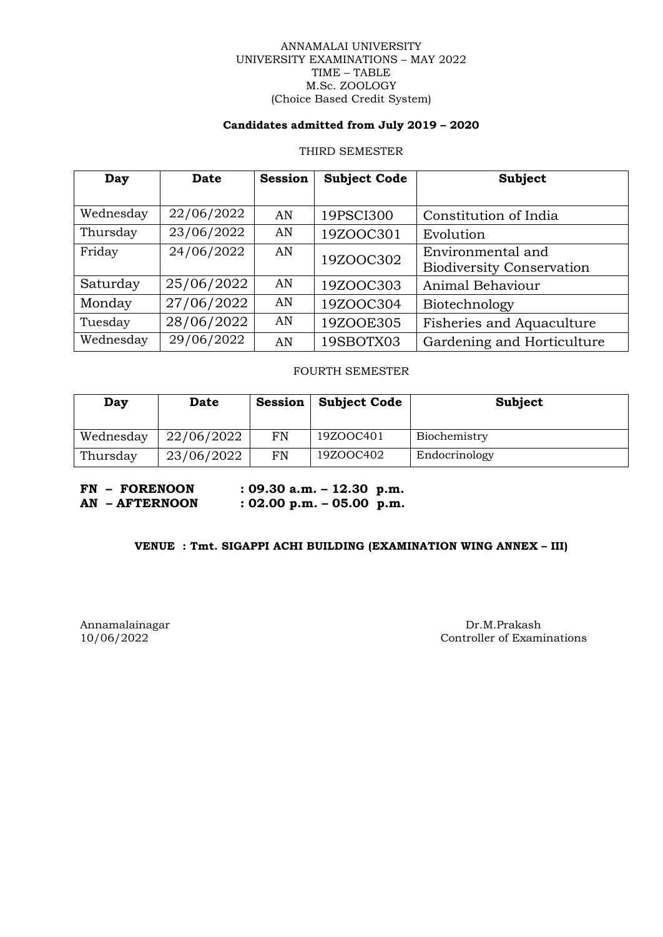#### ANNAMALAI UNIVERSITY UNIVERSITY EXAMINATIONS – MAY 2022 TIME – TABLE M.Sc. ZOOLOGY (Choice Based Credit System)

### **Candidates admitted from July 2019 – 2020**

#### THIRD SEMESTER

| Day       | <b>Date</b> | <b>Session</b> | <b>Subject Code</b> | Subject                          |
|-----------|-------------|----------------|---------------------|----------------------------------|
|           |             |                |                     |                                  |
| Wednesday | 22/06/2022  | AN             | 19PSCI300           | Constitution of India            |
| Thursday  | 23/06/2022  | AN             | 19ZOOC301           | Evolution                        |
| Friday    | 24/06/2022  | AN             | 19ZOOC302           | Environmental and                |
|           |             |                |                     | <b>Biodiversity Conservation</b> |
| Saturday  | 25/06/2022  | AN             | 19ZOOC303           | Animal Behaviour                 |
| Monday    | 27/06/2022  | AN             | 19ZOOC304           | Biotechnology                    |
| Tuesday   | 28/06/2022  | AN             | 19ZOOE305           | Fisheries and Aquaculture        |
| Wednesday | 29/06/2022  | AN             | 19SBOTX03           | Gardening and Horticulture       |

# FOURTH SEMESTER

| Day       | <b>Date</b> | Session | <b>Subject Code</b> | Subject       |
|-----------|-------------|---------|---------------------|---------------|
| Wednesday | 22/06/2022  | FN      | 19ZOOC401           | Biochemistry  |
| Thursday  | 23/06/2022  | FN      | 19ZOOC402           | Endocrinology |

**FN – FORENOON : 09.30 a.m. – 12.30 p.m. AN – AFTERNOON : 02.00 p.m. – 05.00 p.m.**

# **VENUE : Tmt. SIGAPPI ACHI BUILDING (EXAMINATION WING ANNEX – III)**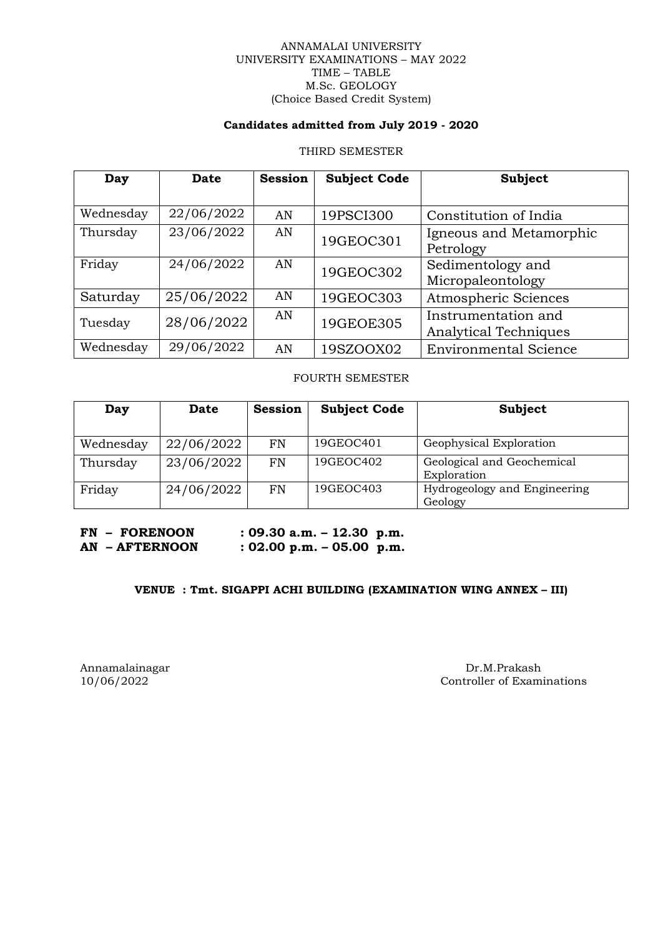#### ANNAMALAI UNIVERSITY UNIVERSITY EXAMINATIONS – MAY 2022 TIME – TABLE M.Sc. GEOLOGY (Choice Based Credit System)

### **Candidates admitted from July 2019 - 2020**

#### THIRD SEMESTER

| Day       | Date       | <b>Session</b> | <b>Subject Code</b> | <b>Subject</b>                                      |
|-----------|------------|----------------|---------------------|-----------------------------------------------------|
| Wednesday | 22/06/2022 | AN             | 19PSCI300           | Constitution of India                               |
| Thursday  | 23/06/2022 | AN             | 19GEOC301           | Igneous and Metamorphic<br>Petrology                |
| Friday    | 24/06/2022 | AN             | 19GEOC302           | Sedimentology and<br>Micropaleontology              |
| Saturday  | 25/06/2022 | AN             | 19GEOC303           | Atmospheric Sciences                                |
| Tuesday   | 28/06/2022 | AN             | 19GEOE305           | Instrumentation and<br><b>Analytical Techniques</b> |
| Wednesday | 29/06/2022 | AN             | 19SZOOX02           | <b>Environmental Science</b>                        |

#### FOURTH SEMESTER

| Day       | <b>Date</b> | <b>Session</b> | <b>Subject Code</b> | Subject                                 |
|-----------|-------------|----------------|---------------------|-----------------------------------------|
|           |             |                |                     |                                         |
| Wednesday | 22/06/2022  | FN             | 19GEOC401           | Geophysical Exploration                 |
| Thursday  | 23/06/2022  | FN             | 19GEOC402           | Geological and Geochemical              |
|           |             |                |                     | Exploration                             |
| Friday    | 24/06/2022  | <b>FN</b>      | 19GEOC403           | Hydrogeology and Engineering<br>Geology |

**FN – FORENOON : 09.30 a.m. – 12.30 p.m. AN – AFTERNOON : 02.00 p.m. – 05.00 p.m.**

#### **VENUE : Tmt. SIGAPPI ACHI BUILDING (EXAMINATION WING ANNEX – III)**

#### Annamalainagar Dr.M.Prakash Dr.M.Prakash Dr.M.Prakash Dr.M.Prakash Dr.M.Prakash Dr.M.Prakash Dr.M.Prakash Dr.M.Prakash Dr.M.Prakash Dr.M.Prakash Dr.M.Prakash Dr.M.Prakash Dr.M.Prakash Dr.M.Prakash Dr.M.Prakash Dr.M.Prakash Controller of Examinations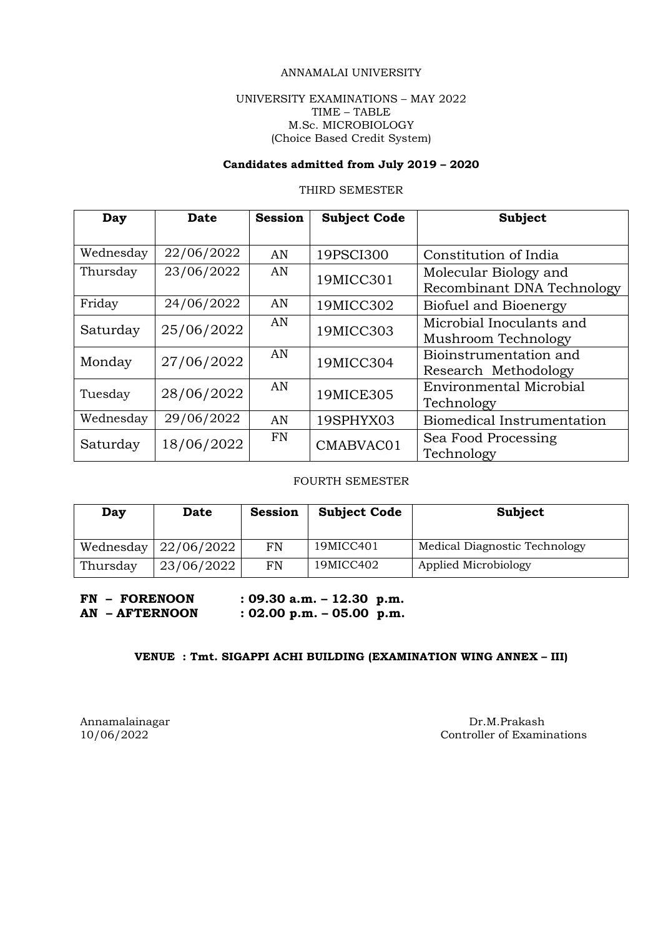#### ANNAMALAI UNIVERSITY

#### UNIVERSITY EXAMINATIONS – MAY 2022 TIME – TABLE M.Sc. MICROBIOLOGY (Choice Based Credit System)

# **Candidates admitted from July 2019 – 2020**

# THIRD SEMESTER

| Day       | Date       | <b>Session</b> | <b>Subject Code</b> | <b>Subject</b>             |
|-----------|------------|----------------|---------------------|----------------------------|
|           |            |                |                     |                            |
| Wednesday | 22/06/2022 | AN             | 19PSCI300           | Constitution of India      |
| Thursday  | 23/06/2022 | AN             | 19MICC301           | Molecular Biology and      |
|           |            |                |                     | Recombinant DNA Technology |
| Friday    | 24/06/2022 | AN             | 19MICC302           | Biofuel and Bioenergy      |
| Saturday  | 25/06/2022 | AN             | 19MICC303           | Microbial Inoculants and   |
|           |            |                |                     | Mushroom Technology        |
| Monday    | 27/06/2022 | AN             | 19MICC304           | Bioinstrumentation and     |
|           |            |                |                     | Research Methodology       |
| Tuesday   | 28/06/2022 | AN             | 19MICE305           | Environmental Microbial    |
|           |            |                |                     | Technology                 |
| Wednesday | 29/06/2022 | AN             | 19SPHYX03           | Biomedical Instrumentation |
| Saturday  | 18/06/2022 | <b>FN</b>      | CMABVAC01           | Sea Food Processing        |
|           |            |                |                     | Technology                 |

#### FOURTH SEMESTER

| Day       | Date       | <b>Session</b> | <b>Subject Code</b> | Subject                       |
|-----------|------------|----------------|---------------------|-------------------------------|
| Wednesday | 22/06/2022 | FN             | 19MICC401           | Medical Diagnostic Technology |
| Thursday  | 23/06/2022 | FN             | 19MICC402           | Applied Microbiology          |

# **FN – FORENOON : 09.30 a.m. – 12.30 p.m. AN – AFTERNOON : 02.00 p.m. – 05.00 p.m.**

#### **VENUE : Tmt. SIGAPPI ACHI BUILDING (EXAMINATION WING ANNEX – III)**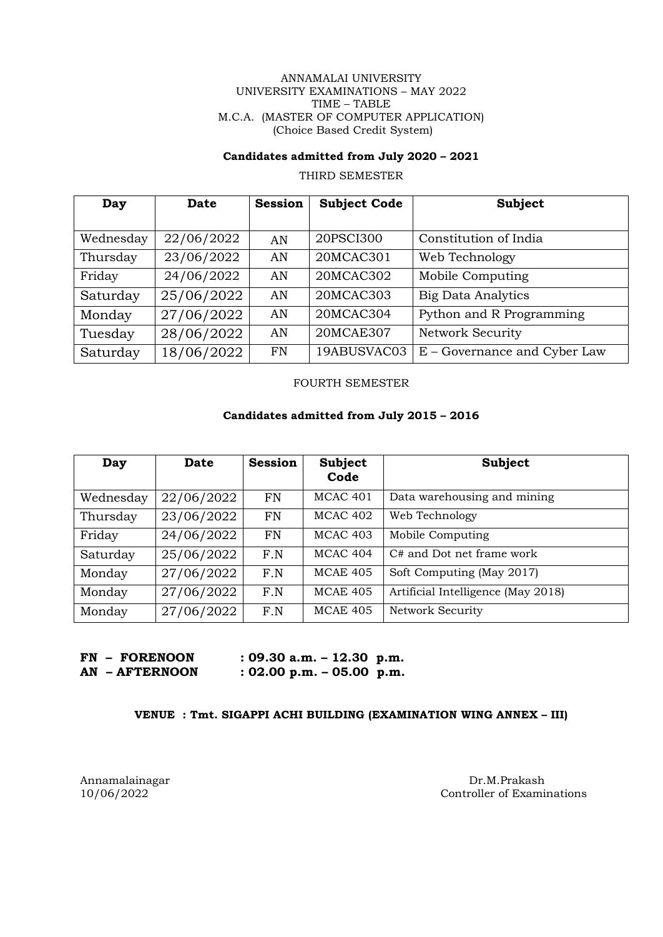#### ANNAMALAI UNIVERSITY UNIVERSITY EXAMINATIONS – MAY 2022 TIME – TABLE M.C.A. (MASTER OF COMPUTER APPLICATION) (Choice Based Credit System)

### **Candidates admitted from July 2020 – 2021**

THIRD SEMESTER

| Day       | <b>Date</b> | <b>Session</b> | <b>Subject Code</b> | Subject                      |
|-----------|-------------|----------------|---------------------|------------------------------|
|           |             |                |                     |                              |
| Wednesday | 22/06/2022  | AN             | 20PSCI300           | Constitution of India        |
| Thursday  | 23/06/2022  | AN             | 20MCAC301           | Web Technology               |
| Friday    | 24/06/2022  | AN             | 20MCAC302           | Mobile Computing             |
| Saturday  | 25/06/2022  | AN             | 20MCAC303           | <b>Big Data Analytics</b>    |
| Monday    | 27/06/2022  | AN             | 20MCAC304           | Python and R Programming     |
| Tuesday   | 28/06/2022  | AN             | 20MCAE307           | <b>Network Security</b>      |
| Saturday  | 18/06/2022  | <b>FN</b>      | 19ABUSVAC03         | E - Governance and Cyber Law |

FOURTH SEMESTER

# **Candidates admitted from July 2015 – 2016**

| Day       | <b>Date</b> | <b>Session</b> | <b>Subject</b><br>Code | Subject                            |
|-----------|-------------|----------------|------------------------|------------------------------------|
| Wednesday | 22/06/2022  | FN             | MCAC <sub>401</sub>    | Data warehousing and mining        |
| Thursday  | 23/06/2022  | <b>FN</b>      | MCAC 402               | Web Technology                     |
| Friday    | 24/06/2022  | <b>FN</b>      | <b>MCAC 403</b>        | Mobile Computing                   |
| Saturday  | 25/06/2022  | F.N            | MCAC 404               | C# and Dot net frame work          |
| Monday    | 27/06/2022  | F.N            | <b>MCAE 405</b>        | Soft Computing (May 2017)          |
| Monday    | 27/06/2022  | F.N            | <b>MCAE 405</b>        | Artificial Intelligence (May 2018) |
| Monday    | 27/06/2022  | F.N            | <b>MCAE 405</b>        | Network Security                   |

| <b>FN - FORENOON</b> | : 09.30 a.m. $-$ 12.30 p.m. |  |
|----------------------|-----------------------------|--|
| AN - AFTERNOON       | : 02.00 p.m. $-$ 05.00 p.m. |  |

#### **VENUE : Tmt. SIGAPPI ACHI BUILDING (EXAMINATION WING ANNEX – III)**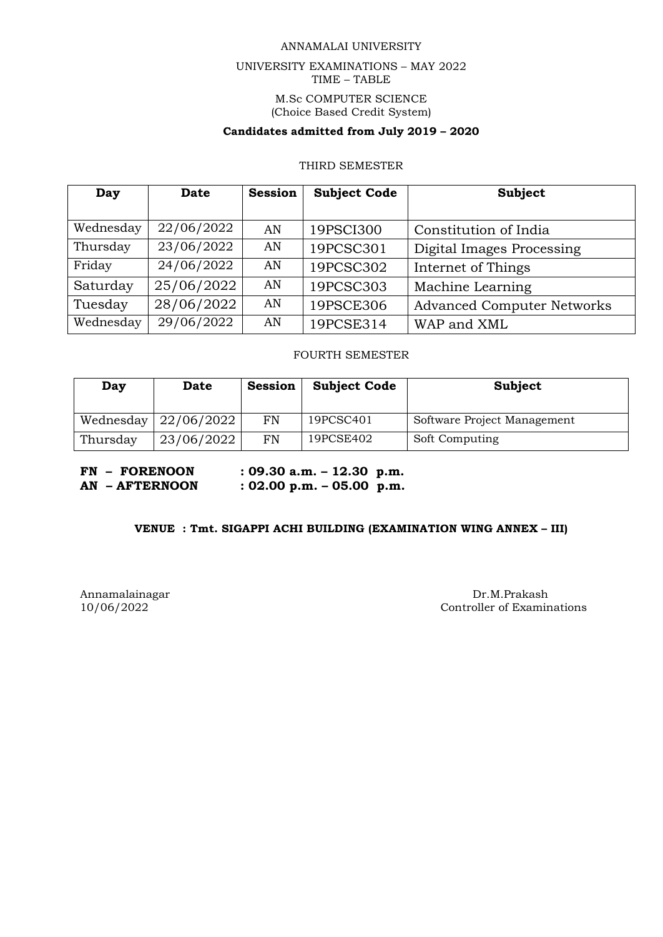## ANNAMALAI UNIVERSITY

# UNIVERSITY EXAMINATIONS – MAY 2022 TIME – TABLE M.Sc COMPUTER SCIENCE (Choice Based Credit System)

# **Candidates admitted from July 2019 – 2020**

## THIRD SEMESTER

| Day       | Date       | <b>Session</b> | <b>Subject Code</b> | Subject                           |
|-----------|------------|----------------|---------------------|-----------------------------------|
|           |            |                |                     |                                   |
| Wednesday | 22/06/2022 | AN             | 19PSCI300           | Constitution of India             |
| Thursday  | 23/06/2022 | AN             | 19PCSC301           | Digital Images Processing         |
| Friday    | 24/06/2022 | AN             | 19PCSC302           | Internet of Things                |
| Saturday  | 25/06/2022 | AN             | 19PCSC303           | Machine Learning                  |
| Tuesday   | 28/06/2022 | AN             | 19PSCE306           | <b>Advanced Computer Networks</b> |
| Wednesday | 29/06/2022 | AN             | 19PCSE314           | WAP and XML                       |

#### FOURTH SEMESTER

| Day      | Date                         | <b>Session</b> | <b>Subject Code</b> | Subject                     |
|----------|------------------------------|----------------|---------------------|-----------------------------|
|          | Wednesday $\vert$ 22/06/2022 | FN             | 19PCSC401           | Software Project Management |
| Thursday | 23/06/2022                   | FN             | 19PCSE402           | Soft Computing              |

**FN – FORENOON : 09.30 a.m. – 12.30 p.m. AN – AFTERNOON : 02.00 p.m. – 05.00 p.m.**

#### **VENUE : Tmt. SIGAPPI ACHI BUILDING (EXAMINATION WING ANNEX – III)**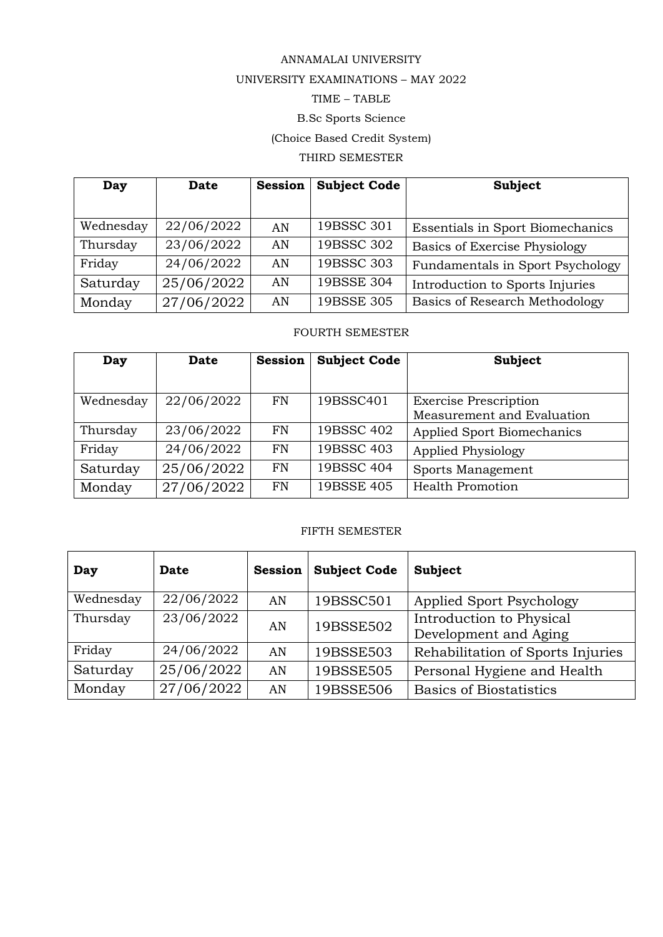# ANNAMALAI UNIVERSITY

# UNIVERSITY EXAMINATIONS – MAY 2022

# TIME – TABLE

# B.Sc Sports Science

# (Choice Based Credit System)

# THIRD SEMESTER

| Day       | <b>Date</b> | <b>Session</b> | <b>Subject Code</b> | <b>Subject</b>                          |
|-----------|-------------|----------------|---------------------|-----------------------------------------|
|           |             |                |                     |                                         |
| Wednesday | 22/06/2022  | AN             | 19BSSC 301          | <b>Essentials in Sport Biomechanics</b> |
| Thursday  | 23/06/2022  | AN             | 19BSSC 302          | Basics of Exercise Physiology           |
| Friday    | 24/06/2022  | AN             | 19BSSC 303          | Fundamentals in Sport Psychology        |
| Saturday  | 25/06/2022  | AN             | 19BSSE 304          | Introduction to Sports Injuries         |
| Monday    | 27/06/2022  | AN             | 19BSSE 305          | <b>Basics of Research Methodology</b>   |

# FOURTH SEMESTER

| Day       | <b>Date</b> | <b>Session</b> | <b>Subject Code</b> | Subject                           |
|-----------|-------------|----------------|---------------------|-----------------------------------|
|           |             |                |                     |                                   |
| Wednesday | 22/06/2022  | FN             | 19BSSC401           | <b>Exercise Prescription</b>      |
|           |             |                |                     | Measurement and Evaluation        |
| Thursday  | 23/06/2022  | <b>FN</b>      | 19BSSC 402          | <b>Applied Sport Biomechanics</b> |
| Friday    | 24/06/2022  | <b>FN</b>      | 19BSSC 403          | Applied Physiology                |
| Saturday  | 25/06/2022  | <b>FN</b>      | 19BSSC 404          | Sports Management                 |
| Monday    | 27/06/2022  | FN             | 19BSSE 405          | <b>Health Promotion</b>           |

# FIFTH SEMESTER

| Day       | Date       | <b>Session</b> | <b>Subject Code</b> | Subject                                           |
|-----------|------------|----------------|---------------------|---------------------------------------------------|
| Wednesday | 22/06/2022 | AN             | 19BSSC501           | Applied Sport Psychology                          |
| Thursday  | 23/06/2022 | AN             | 19BSSE502           | Introduction to Physical<br>Development and Aging |
| Friday    | 24/06/2022 | AN             | 19BSSE503           | Rehabilitation of Sports Injuries                 |
| Saturday  | 25/06/2022 | AN             | 19BSSE505           | Personal Hygiene and Health                       |
| Monday    | 27/06/2022 | AN             | 19BSSE506           | <b>Basics of Biostatistics</b>                    |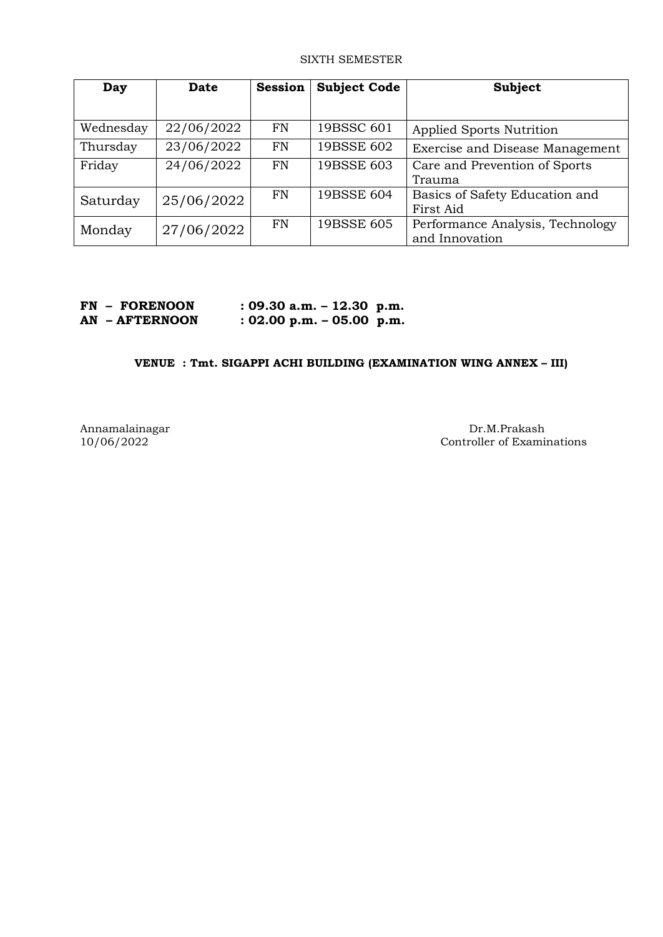#### SIXTH SEMESTER

| Day       | <b>Date</b> | <b>Session</b> | <b>Subject Code</b> | <b>Subject</b>                   |
|-----------|-------------|----------------|---------------------|----------------------------------|
|           |             |                |                     |                                  |
| Wednesday | 22/06/2022  | FN             | 19BSSC 601          | Applied Sports Nutrition         |
| Thursday  | 23/06/2022  | <b>FN</b>      | 19BSSE 602          | Exercise and Disease Management  |
| Friday    | 24/06/2022  | <b>FN</b>      | 19BSSE 603          | Care and Prevention of Sports    |
|           |             |                |                     | Trauma                           |
| Saturday  | 25/06/2022  | FN             | 19BSSE 604          | Basics of Safety Education and   |
|           |             |                |                     | First Aid                        |
| Monday    | 27/06/2022  | FN             | 19BSSE 605          | Performance Analysis, Technology |
|           |             |                |                     | and Innovation                   |

| <b>FN - FORENOON</b> | $: 09.30$ a.m. $-12.30$ p.m. |  |
|----------------------|------------------------------|--|
| AN - AFTERNOON       | $: 02.00$ p.m. $-05.00$ p.m. |  |

# **VENUE : Tmt. SIGAPPI ACHI BUILDING (EXAMINATION WING ANNEX – III)**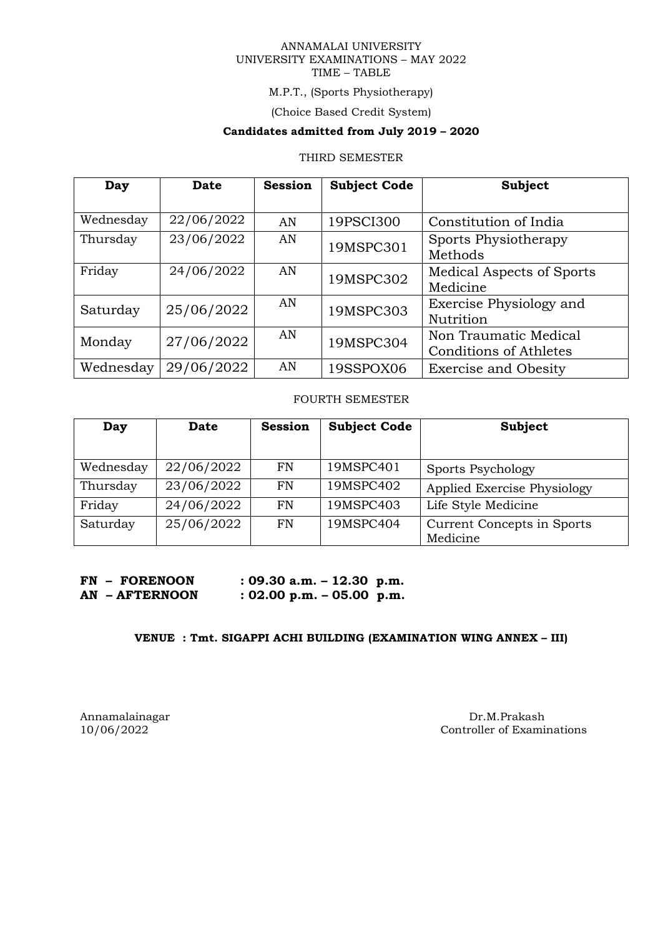#### ANNAMALAI UNIVERSITY UNIVERSITY EXAMINATIONS – MAY 2022 TIME – TABLE

# M.P.T., (Sports Physiotherapy)

(Choice Based Credit System)

# **Candidates admitted from July 2019 – 2020**

# THIRD SEMESTER

| Day       | <b>Date</b> | <b>Session</b> | <b>Subject Code</b> | <b>Subject</b>                   |
|-----------|-------------|----------------|---------------------|----------------------------------|
|           |             |                |                     |                                  |
| Wednesday | 22/06/2022  | AN             | 19PSCI300           | Constitution of India            |
| Thursday  | 23/06/2022  | AN             | 19MSPC301           | Sports Physiotherapy             |
|           |             |                |                     | Methods                          |
| Friday    | 24/06/2022  | AN             | 19MSPC302           | <b>Medical Aspects of Sports</b> |
|           |             |                |                     | Medicine                         |
| Saturday  | 25/06/2022  | AN             | 19MSPC303           | Exercise Physiology and          |
|           |             |                |                     | Nutrition                        |
| Monday    | 27/06/2022  | AN             | 19MSPC304           | Non Traumatic Medical            |
|           |             |                |                     | <b>Conditions of Athletes</b>    |
| Wednesday | 29/06/2022  | AN             | 19SSPOX06           | <b>Exercise and Obesity</b>      |

# FOURTH SEMESTER

| Day       | <b>Date</b> | <b>Session</b> | <b>Subject Code</b> | Subject                                |
|-----------|-------------|----------------|---------------------|----------------------------------------|
| Wednesday | 22/06/2022  | FN             | 19MSPC401           | Sports Psychology                      |
| Thursday  | 23/06/2022  | <b>FN</b>      | 19MSPC402           | Applied Exercise Physiology            |
| Friday    | 24/06/2022  | FN             | 19MSPC403           | Life Style Medicine                    |
| Saturday  | 25/06/2022  | FN             | 19MSPC404           | Current Concepts in Sports<br>Medicine |

| <b>FN - FORENOON</b> | $: 09.30$ a.m. $- 12.30$ p.m. |  |
|----------------------|-------------------------------|--|
| AN - AFTERNOON       | $: 02.00$ p.m. $-05.00$ p.m.  |  |

# **VENUE : Tmt. SIGAPPI ACHI BUILDING (EXAMINATION WING ANNEX – III)**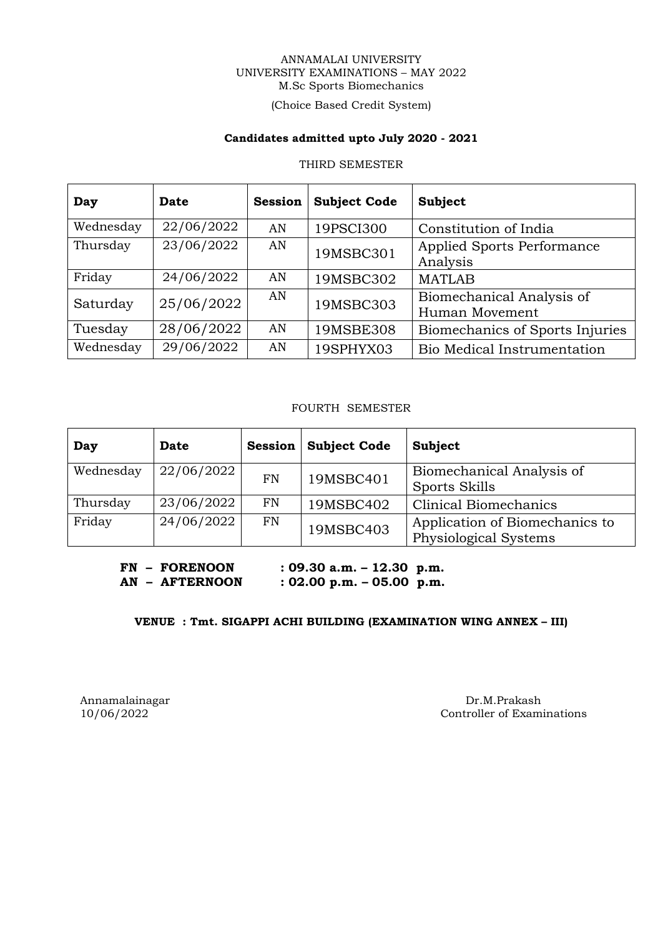#### ANNAMALAI UNIVERSITY UNIVERSITY EXAMINATIONS – MAY 2022 M.Sc Sports Biomechanics

# (Choice Based Credit System)

#### **Candidates admitted upto July 2020 - 2021**

#### THIRD SEMESTER

| Day       | Date       | <b>Session</b> | <b>Subject Code</b> | <b>Subject</b>                              |
|-----------|------------|----------------|---------------------|---------------------------------------------|
| Wednesday | 22/06/2022 | AN             | 19PSCI300           | Constitution of India                       |
| Thursday  | 23/06/2022 | AN             | 19MSBC301           | Applied Sports Performance<br>Analysis      |
| Friday    | 24/06/2022 | AN             | 19MSBC302           | <b>MATLAB</b>                               |
| Saturday  | 25/06/2022 | AN             | 19MSBC303           | Biomechanical Analysis of<br>Human Movement |
| Tuesday   | 28/06/2022 | AN             | 19MSBE308           | Biomechanics of Sports Injuries             |
| Wednesday | 29/06/2022 | AN             | 19SPHYX03           | Bio Medical Instrumentation                 |

# FOURTH SEMESTER

| Day       | Date       | <b>Session</b> | <b>Subject Code</b> | Subject                                                 |
|-----------|------------|----------------|---------------------|---------------------------------------------------------|
| Wednesday | 22/06/2022 | <b>FN</b>      | 19MSBC401           | Biomechanical Analysis of<br>Sports Skills              |
| Thursday  | 23/06/2022 | <b>FN</b>      | 19MSBC402           | <b>Clinical Biomechanics</b>                            |
| Friday    | 24/06/2022 | <b>FN</b>      | 19MSBC403           | Application of Biomechanics to<br>Physiological Systems |

**FN – FORENOON : 09.30 a.m. – 12.30 p.m. AN – AFTERNOON : 02.00 p.m. – 05.00 p.m.**

# **VENUE : Tmt. SIGAPPI ACHI BUILDING (EXAMINATION WING ANNEX – III)**

Annamalainagar Dr.M.Prakash Dr.M.Prakash Dr.M.Prakash Dr.M.Prakash Dr.M.Prakash Dr.M.Prakash Dr.M.Prakash Dr.M.Prakash Dr.M.Prakash Dr.M.Prakash Dr.M.Prakash Dr.M.Prakash Dr.M.Prakash Dr.M.Prakash Dr.M.Prakash Dr.M.Prakash Controller of Examinations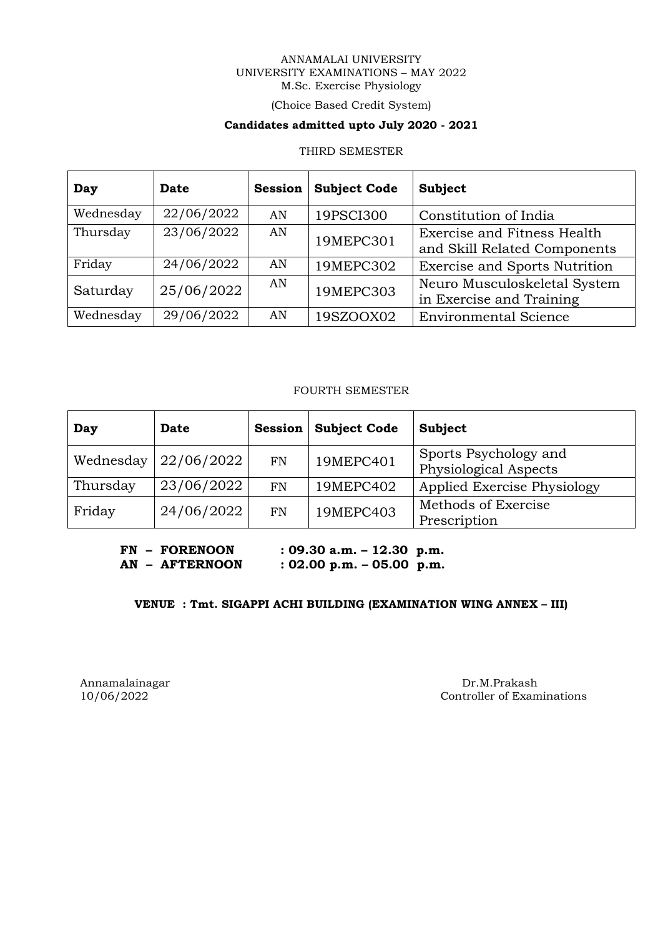#### ANNAMALAI UNIVERSITY UNIVERSITY EXAMINATIONS – MAY 2022 M.Sc. Exercise Physiology

# (Choice Based Credit System)

# **Candidates admitted upto July 2020 - 2021**

#### THIRD SEMESTER

| Day       | Date       | <b>Session</b> | <b>Subject Code</b> | Subject                                                     |
|-----------|------------|----------------|---------------------|-------------------------------------------------------------|
| Wednesday | 22/06/2022 | AN             | 19PSCI300           | Constitution of India                                       |
| Thursday  | 23/06/2022 | AN             | 19MEPC301           | Exercise and Fitness Health<br>and Skill Related Components |
| Friday    | 24/06/2022 | AN             | 19MEPC302           | <b>Exercise and Sports Nutrition</b>                        |
| Saturday  | 25/06/2022 | AN             | 19MEPC303           | Neuro Musculoskeletal System<br>in Exercise and Training    |
| Wednesday | 29/06/2022 | AN             | 19SZOOX02           | <b>Environmental Science</b>                                |

# FOURTH SEMESTER

| Day       | Date       | <b>Session</b> | <b>Subject Code</b> | Subject                                        |
|-----------|------------|----------------|---------------------|------------------------------------------------|
| Wednesday | 22/06/2022 | FN             | 19MEPC401           | Sports Psychology and<br>Physiological Aspects |
| Thursday  | 23/06/2022 | FN             | 19MEPC402           | Applied Exercise Physiology                    |
| Friday    | 24/06/2022 | FN             | 19MEPC403           | Methods of Exercise<br>Prescription            |

**FN – FORENOON : 09.30 a.m. – 12.30 p.m. AN – AFTERNOON : 02.00 p.m. – 05.00 p.m.**

# **VENUE : Tmt. SIGAPPI ACHI BUILDING (EXAMINATION WING ANNEX – III)**